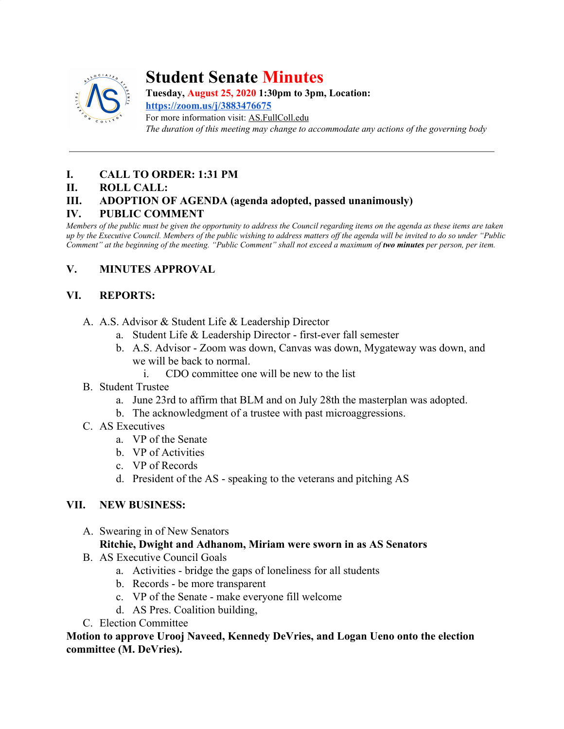

# **Student Senate Minutes**

**Tuesday, August 25, 2020 1:30pm to 3pm, Location:**

**<https://zoom.us/j/3883476675>** For more information visit: AS.FullColl.edu *The duration of this meeting may change to accommodate any actions of the governing body*

## **I. CALL TO ORDER: 1:31 PM**

#### **II. ROLL CALL:**

## **III. ADOPTION OF AGENDA (agenda adopted, passed unanimously)**

## **IV. PUBLIC COMMENT**

*Members of the public must be given the opportunity to address the Council regarding items on the agenda as these items are taken up by the Executive Council. Members of the public wishing to address matters off the agenda will be invited to do so under "Public Comment" at the beginning of the meeting. "Public Comment" shall not exceed a maximum of two minutes per person, per item.*

## **V. MINUTES APPROVAL**

## **VI. REPORTS:**

- A. A.S. Advisor & Student Life & Leadership Director
	- a. Student Life & Leadership Director first-ever fall semester
	- b. A.S. Advisor Zoom was down, Canvas was down, Mygateway was down, and we will be back to normal.
		- i. CDO committee one will be new to the list
- B. Student Trustee
	- a. June 23rd to affirm that BLM and on July 28th the masterplan was adopted.
	- b. The acknowledgment of a trustee with past microaggressions.
- C. AS Executives
	- a. VP of the Senate
	- b. VP of Activities
	- c. VP of Records
	- d. President of the AS speaking to the veterans and pitching AS

## **VII. NEW BUSINESS:**

A. Swearing in of New Senators

## **Ritchie, Dwight and Adhanom, Miriam were sworn in as AS Senators**

- B. AS Executive Council Goals
	- a. Activities bridge the gaps of loneliness for all students
	- b. Records be more transparent
	- c. VP of the Senate make everyone fill welcome
	- d. AS Pres. Coalition building,
- C. Election Committee

**Motion to approve Urooj Naveed, Kennedy DeVries, and Logan Ueno onto the election committee (M. DeVries).**